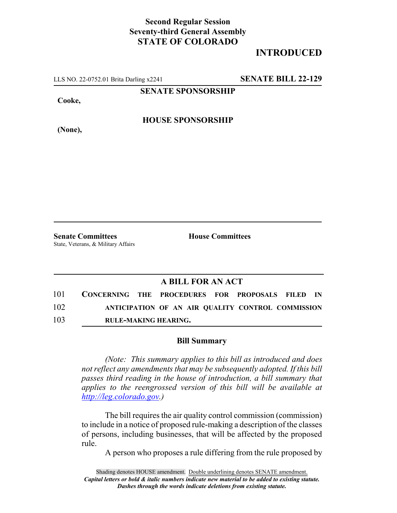## **Second Regular Session Seventy-third General Assembly STATE OF COLORADO**

## **INTRODUCED**

LLS NO. 22-0752.01 Brita Darling x2241 **SENATE BILL 22-129**

**SENATE SPONSORSHIP**

**Cooke,**

**HOUSE SPONSORSHIP**

**(None),**

**Senate Committees House Committees** State, Veterans, & Military Affairs

### **A BILL FOR AN ACT**

| 101 | CONCERNING THE PROCEDURES FOR PROPOSALS FILED IN  |  |  |  |  |  |  |
|-----|---------------------------------------------------|--|--|--|--|--|--|
| 102 | ANTICIPATION OF AN AIR QUALITY CONTROL COMMISSION |  |  |  |  |  |  |
| 103 | <b>RULE-MAKING HEARING.</b>                       |  |  |  |  |  |  |

#### **Bill Summary**

*(Note: This summary applies to this bill as introduced and does not reflect any amendments that may be subsequently adopted. If this bill passes third reading in the house of introduction, a bill summary that applies to the reengrossed version of this bill will be available at http://leg.colorado.gov.)*

The bill requires the air quality control commission (commission) to include in a notice of proposed rule-making a description of the classes of persons, including businesses, that will be affected by the proposed rule.

A person who proposes a rule differing from the rule proposed by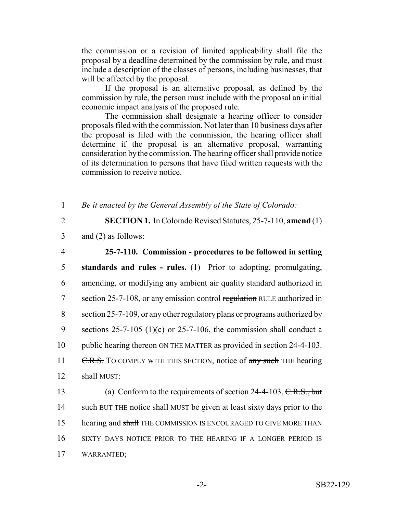the commission or a revision of limited applicability shall file the proposal by a deadline determined by the commission by rule, and must include a description of the classes of persons, including businesses, that will be affected by the proposal.

If the proposal is an alternative proposal, as defined by the commission by rule, the person must include with the proposal an initial economic impact analysis of the proposed rule.

The commission shall designate a hearing officer to consider proposals filed with the commission. Not later than 10 business days after the proposal is filed with the commission, the hearing officer shall determine if the proposal is an alternative proposal, warranting consideration by the commission. The hearing officer shall provide notice of its determination to persons that have filed written requests with the commission to receive notice.

1 *Be it enacted by the General Assembly of the State of Colorado:*

2 **SECTION 1.** In Colorado Revised Statutes, 25-7-110, **amend** (1)

3 and (2) as follows:

# 4 **25-7-110. Commission - procedures to be followed in setting**

 **standards and rules - rules.** (1) Prior to adopting, promulgating, amending, or modifying any ambient air quality standard authorized in section 25-7-108, or any emission control regulation RULE authorized in section 25-7-109, or any other regulatory plans or programs authorized by 9 sections  $25-7-105$  (1)(c) or  $25-7-106$ , the commission shall conduct a 10 public hearing thereon ON THE MATTER as provided in section 24-4-103. 11 C.R.S. TO COMPLY WITH THIS SECTION, notice of any such THE hearing shall MUST:

13 (a) Conform to the requirements of section 24-4-103, C.R.S., but 14 such BUT THE notice shall MUST be given at least sixty days prior to the 15 hearing and shall THE COMMISSION IS ENCOURAGED TO GIVE MORE THAN 16 SIXTY DAYS NOTICE PRIOR TO THE HEARING IF A LONGER PERIOD IS 17 WARRANTED;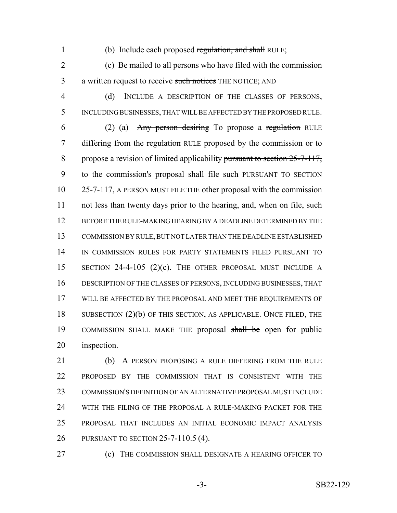1 (b) Include each proposed regulation, and shall RULE;

 (c) Be mailed to all persons who have filed with the commission 3 a written request to receive such notices THE NOTICE; AND

 (d) INCLUDE A DESCRIPTION OF THE CLASSES OF PERSONS, INCLUDING BUSINESSES, THAT WILL BE AFFECTED BY THE PROPOSED RULE.

 (2) (a) Any person desiring To propose a regulation RULE 7 differing from the regulation RULE proposed by the commission or to 8 propose a revision of limited applicability pursuant to section 25-7-117, 9 to the commission's proposal shall file such PURSUANT TO SECTION 25-7-117, A PERSON MUST FILE THE other proposal with the commission 11 not less than twenty days prior to the hearing, and, when on file, such BEFORE THE RULE-MAKING HEARING BY A DEADLINE DETERMINED BY THE COMMISSION BY RULE, BUT NOT LATER THAN THE DEADLINE ESTABLISHED IN COMMISSION RULES FOR PARTY STATEMENTS FILED PURSUANT TO 15 SECTION 24-4-105 (2)(c). THE OTHER PROPOSAL MUST INCLUDE A DESCRIPTION OF THE CLASSES OF PERSONS, INCLUDING BUSINESSES, THAT WILL BE AFFECTED BY THE PROPOSAL AND MEET THE REQUIREMENTS OF 18 SUBSECTION (2)(b) OF THIS SECTION, AS APPLICABLE. ONCE FILED, THE 19 COMMISSION SHALL MAKE THE proposal shall be open for public inspection.

 (b) A PERSON PROPOSING A RULE DIFFERING FROM THE RULE PROPOSED BY THE COMMISSION THAT IS CONSISTENT WITH THE COMMISSION'S DEFINITION OF AN ALTERNATIVE PROPOSAL MUST INCLUDE WITH THE FILING OF THE PROPOSAL A RULE-MAKING PACKET FOR THE PROPOSAL THAT INCLUDES AN INITIAL ECONOMIC IMPACT ANALYSIS PURSUANT TO SECTION 25-7-110.5 (4).

(c) THE COMMISSION SHALL DESIGNATE A HEARING OFFICER TO